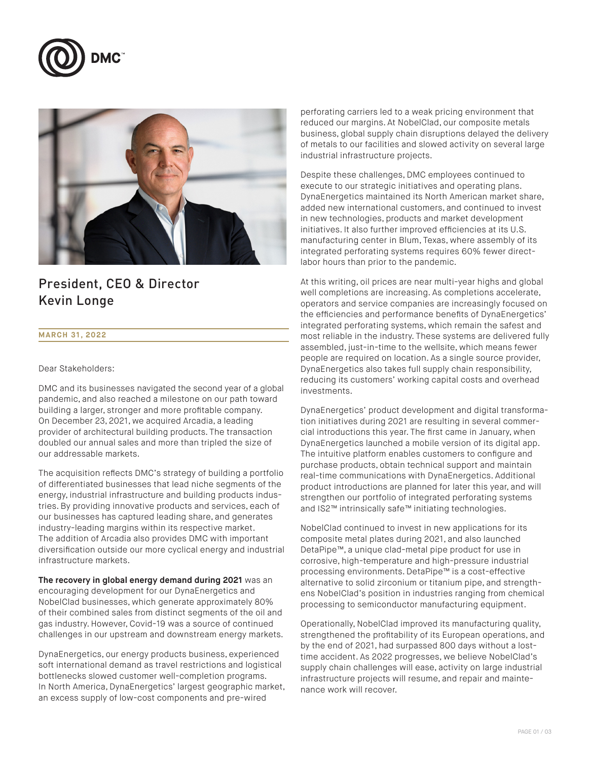



### President, CEO & Director Kevin Longe

### **MARCH 31, 2022**

Dear Stakeholders:

DMC and its businesses navigated the second year of a global pandemic, and also reached a milestone on our path toward building a larger, stronger and more profitable company. On December 23, 2021, we acquired Arcadia, a leading provider of architectural building products. The transaction doubled our annual sales and more than tripled the size of our addressable markets.

The acquisition reflects DMC's strategy of building a portfolio of differentiated businesses that lead niche segments of the energy, industrial infrastructure and building products industries. By providing innovative products and services, each of our businesses has captured leading share, and generates industry-leading margins within its respective market. The addition of Arcadia also provides DMC with important diversification outside our more cyclical energy and industrial infrastructure markets.

**The recovery in global energy demand during 2021** was an encouraging development for our DynaEnergetics and NobelClad businesses, which generate approximately 80% of their combined sales from distinct segments of the oil and gas industry. However, Covid-19 was a source of continued challenges in our upstream and downstream energy markets.

DynaEnergetics, our energy products business, experienced soft international demand as travel restrictions and logistical bottlenecks slowed customer well-completion programs. In North America, DynaEnergetics' largest geographic market, an excess supply of low-cost components and pre-wired

perforating carriers led to a weak pricing environment that reduced our margins. At NobelClad, our composite metals business, global supply chain disruptions delayed the delivery of metals to our facilities and slowed activity on several large industrial infrastructure projects.

Despite these challenges, DMC employees continued to execute to our strategic initiatives and operating plans. DynaEnergetics maintained its North American market share, added new international customers, and continued to invest in new technologies, products and market development initiatives. It also further improved efficiencies at its U.S. manufacturing center in Blum, Texas, where assembly of its integrated perforating systems requires 60% fewer directlabor hours than prior to the pandemic.

At this writing, oil prices are near multi-year highs and global well completions are increasing. As completions accelerate, operators and service companies are increasingly focused on the efficiencies and performance benefits of DynaEnergetics' integrated perforating systems, which remain the safest and most reliable in the industry. These systems are delivered fully assembled, just-in-time to the wellsite, which means fewer people are required on location. As a single source provider, DynaEnergetics also takes full supply chain responsibility, reducing its customers' working capital costs and overhead investments.

DynaEnergetics' product development and digital transformation initiatives during 2021 are resulting in several commercial introductions this year. The first came in January, when DynaEnergetics launched a mobile version of its digital app. The intuitive platform enables customers to configure and purchase products, obtain technical support and maintain real-time communications with DynaEnergetics. Additional product introductions are planned for later this year, and will strengthen our portfolio of integrated perforating systems and IS2™ intrinsically safe™ initiating technologies.

NobelClad continued to invest in new applications for its composite metal plates during 2021, and also launched DetaPipe™, a unique clad-metal pipe product for use in corrosive, high-temperature and high-pressure industrial processing environments. DetaPipe™ is a cost-effective alternative to solid zirconium or titanium pipe, and strengthens NobeIClad's position in industries ranging from chemical processing to semiconductor manufacturing equipment.

Operationally, NobelClad improved its manufacturing quality, strengthened the profitability of its European operations, and by the end of 2021, had surpassed 800 days without a losttime accident. As 2022 progresses, we believe NobelClad's supply chain challenges will ease, activity on large industrial infrastructure projects will resume, and repair and maintenance work will recover.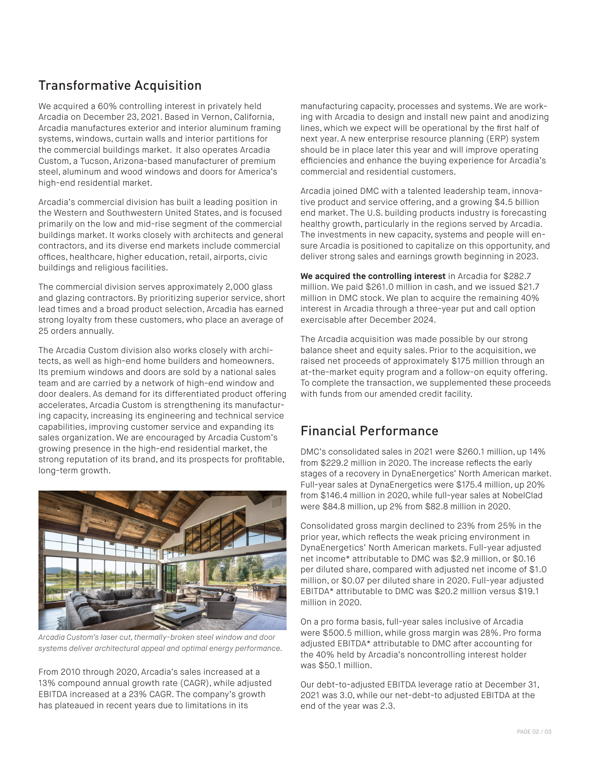# Transformative Acquisition

We acquired a 60% controlling interest in privately held Arcadia on December 23, 2021. Based in Vernon, California, Arcadia manufactures exterior and interior aluminum framing systems, windows, curtain walls and interior partitions for the commercial buildings market. It also operates Arcadia Custom, a Tucson, Arizona-based manufacturer of premium steel, aluminum and wood windows and doors for America's high-end residential market.

Arcadia's commercial division has built a leading position in the Western and Southwestern United States, and is focused primarily on the low and mid-rise segment of the commercial buildings market. It works closely with architects and general contractors, and its diverse end markets include commercial offices, healthcare, higher education, retail, airports, civic buildings and religious facilities.

The commercial division serves approximately 2,000 glass and glazing contractors. By prioritizing superior service, short lead times and a broad product selection, Arcadia has earned strong loyalty from these customers, who place an average of 25 orders annually.

The Arcadia Custom division also works closely with architects, as well as high-end home builders and homeowners. Its premium windows and doors are sold by a national sales team and are carried by a network of high-end window and door dealers. As demand for its differentiated product offering accelerates, Arcadia Custom is strengthening its manufacturing capacity, increasing its engineering and technical service capabilities, improving customer service and expanding its sales organization. We are encouraged by Arcadia Custom's growing presence in the high-end residential market, the strong reputation of its brand, and its prospects for profitable, long-term growth.



*Arcadia Custom's laser cut, thermally-broken steel window and door systems deliver architectural appeal and optimal energy performance.*

From 2010 through 2020, Arcadia's sales increased at a 13% compound annual growth rate (CAGR), while adjusted EBITDA increased at a 23% CAGR. The company's growth has plateaued in recent years due to limitations in its

manufacturing capacity, processes and systems. We are working with Arcadia to design and install new paint and anodizing lines, which we expect will be operational by the first half of next year. A new enterprise resource planning (ERP) system should be in place later this year and will improve operating efficiencies and enhance the buying experience for Arcadia's commercial and residential customers.

Arcadia joined DMC with a talented leadership team, innovative product and service offering, and a growing \$4.5 billion end market. The U.S. building products industry is forecasting healthy growth, particularly in the regions served by Arcadia. The investments in new capacity, systems and people will ensure Arcadia is positioned to capitalize on this opportunity, and deliver strong sales and earnings growth beginning in 2023.

**We acquired the controlling interest** in Arcadia for \$282.7 million. We paid \$261.0 million in cash, and we issued \$21.7 million in DMC stock. We plan to acquire the remaining 40% interest in Arcadia through a three-year put and call option exercisable after December 2024.

The Arcadia acquisition was made possible by our strong balance sheet and equity sales. Prior to the acquisition, we raised net proceeds of approximately \$175 million through an at-the-market equity program and a follow-on equity offering. To complete the transaction, we supplemented these proceeds with funds from our amended credit facility.

## Financial Performance

DMC's consolidated sales in 2021 were \$260.1 million, up 14% from \$229.2 million in 2020. The increase reflects the early stages of a recovery in DynaEnergetics' North American market. Full-year sales at DynaEnergetics were \$175.4 million, up 20% from \$146.4 million in 2020, while full-year sales at NobelClad were \$84.8 million, up 2% from \$82.8 million in 2020.

Consolidated gross margin declined to 23% from 25% in the prior year, which reflects the weak pricing environment in DynaEnergetics' North American markets. Full-year adjusted net income\* attributable to DMC was \$2.9 million, or \$0.16 per diluted share, compared with adjusted net income of \$1.0 million, or \$0.07 per diluted share in 2020. Full-year adjusted EBITDA\* attributable to DMC was \$20.2 million versus \$19.1 million in 2020.

On a pro forma basis, full-year sales inclusive of Arcadia were \$500.5 million, while gross margin was 28%. Pro forma adjusted EBITDA\* attributable to DMC after accounting for the 40% held by Arcadia's noncontrolling interest holder was \$50.1 million.

Our debt-to-adjusted EBITDA leverage ratio at December 31, 2021 was 3.0, while our net-debt-to adjusted EBITDA at the end of the year was 2.3.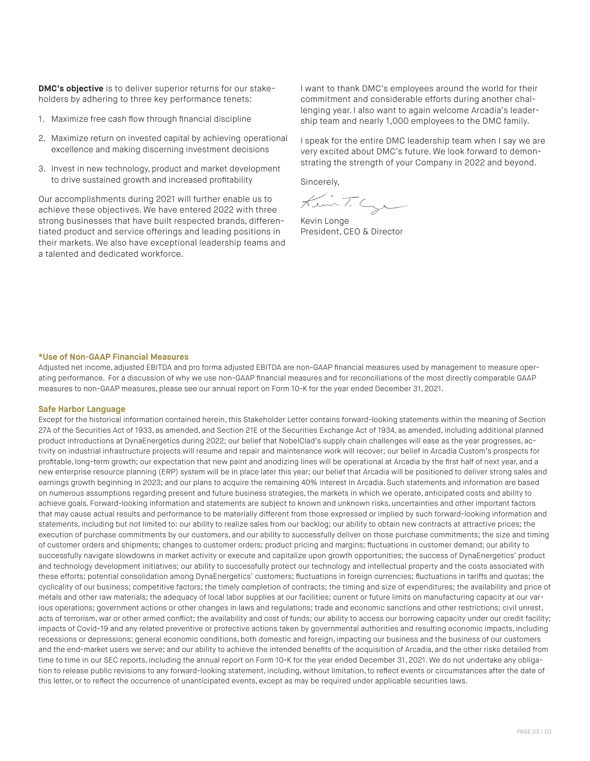**DMC's objective** is to deliver superior returns for our stakeholders by adhering to three key performance tenets:

- 1. Maximize free cash flow through financial discipline
- 2. Maximize return on invested capital by achieving operational excellence and making discerning investment decisions
- 3. Invest in new technology, product and market development to drive sustained growth and increased profitability

Our accomplishments during 2021 will further enable us to achieve these objectives. We have entered 2022 with three strong businesses that have built respected brands, differentiated product and service offerings and leading positions in their markets. We also have exceptional leadership teams and a talented and dedicated workforce.

I want to thank DMC's employees around the world for their commitment and considerable efforts during another challenging year. I also want to again welcome Arcadia's leadership team and nearly 1,000 employees to the DMC family.

I speak for the entire DMC leadership team when I say we are very excited about DMC's future. We look forward to demonstrating the strength of your Company in 2022 and beyond.

Sincerely,

KuinT. Cyr

Kevin Longe President, CEO & Director

#### **\*Use of Non-GAAP Financial Measures**

Adjusted net income, adjusted EBITDA and pro forma adjusted EBITDA are non-GAAP financial measures used by management to measure operating performance. For a discussion of why we use non-GAAP financial measures and for reconciliations of the most directly comparable GAAP measures to non-GAAP measures, please see our annual report on Form 10-K for the year ended December 31, 2021.

#### **Safe Harbor Language**

Except for the historical information contained herein, this Stakeholder Letter contains forward-looking statements within the meaning of Section 27A of the Securities Act of 1933, as amended, and Section 21E of the Securities Exchange Act of 1934, as amended, including additional planned product introductions at DynaEnergetics during 2022; our belief that NobelClad's supply chain challenges will ease as the year progresses, activity on industrial infrastructure projects will resume and repair and maintenance work will recover; our belief in Arcadia Custom's prospects for profitable, long-term growth; our expectation that new paint and anodizing lines will be operational at Arcadia by the first half of next year, and a new enterprise resource planning (ERP) system will be in place later this year; our belief that Arcadia will be positioned to deliver strong sales and earnings growth beginning in 2023; and our plans to acquire the remaining 40% interest in Arcadia. Such statements and information are based on numerous assumptions regarding present and future business strategies, the markets in which we operate, anticipated costs and ability to achieve goals. Forward-looking information and statements are subject to known and unknown risks, uncertainties and other important factors that may cause actual results and performance to be materially different from those expressed or implied by such forward-looking information and statements, including but not limited to: our ability to realize sales from our backlog; our ability to obtain new contracts at attractive prices; the execution of purchase commitments by our customers, and our ability to successfully deliver on those purchase commitments; the size and timing of customer orders and shipments; changes to customer orders; product pricing and margins; fluctuations in customer demand; our ability to successfully navigate slowdowns in market activity or execute and capitalize upon growth opportunities; the success of DynaEnergetics' product and technology development initiatives; our ability to successfully protect our technology and intellectual property and the costs associated with these efforts; potential consolidation among DynaEnergetics' customers; fluctuations in foreign currencies; fluctuations in tariffs and quotas; the cyclicality of our business; competitive factors; the timely completion of contracts; the timing and size of expenditures; the availability and price of metals and other raw materials; the adequacy of local labor supplies at our facilities; current or future limits on manufacturing capacity at our various operations; government actions or other changes in laws and regulations; trade and economic sanctions and other restrictions; civil unrest, acts of terrorism, war or other armed conflict; the availability and cost of funds; our ability to access our borrowing capacity under our credit facility; impacts of Covid-19 and any related preventive or protective actions taken by governmental authorities and resulting economic impacts, including recessions or depressions; general economic conditions, both domestic and foreign, impacting our business and the business of our customers and the end-market users we serve; and our ability to achieve the intended benefits of the acquisition of Arcadia, and the other risks detailed from time to time in our SEC reports, including the annual report on Form 10-K for the year ended December 31, 2021. We do not undertake any obligation to release public revisions to any forward-looking statement, including, without limitation, to reflect events or circumstances after the date of this letter, or to reflect the occurrence of unanticipated events, except as may be required under applicable securities laws.